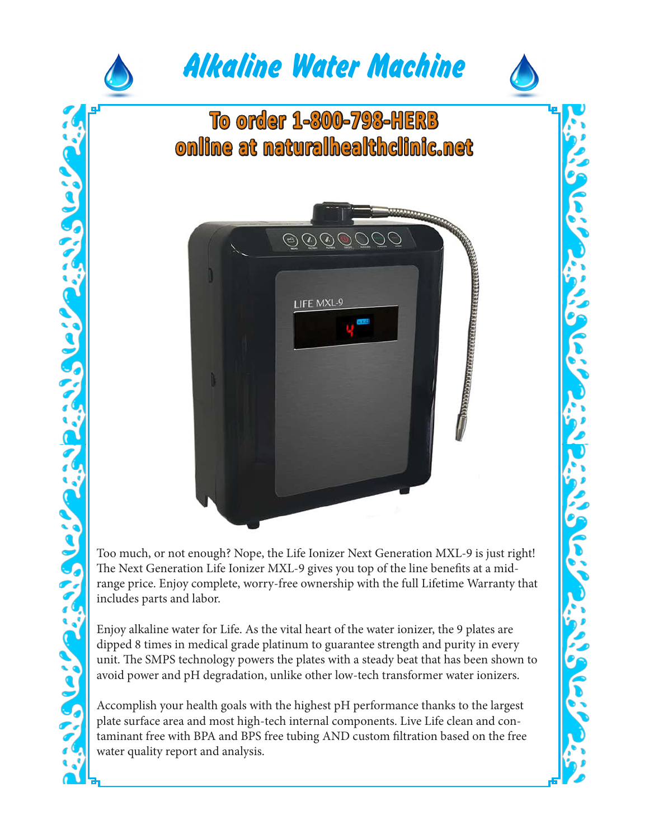

Too much, or not enough? Nope, the Life Ionizer Next Generation MXL-9 is just right! The Next Generation Life Ionizer MXL-9 gives you top of the line benefits at a midrange price. Enjoy complete, worry-free ownership with the full Lifetime Warranty that includes parts and labor.

Enjoy alkaline water for Life. As the vital heart of the water ionizer, the 9 plates are dipped 8 times in medical grade platinum to guarantee strength and purity in every unit. The SMPS technology powers the plates with a steady beat that has been shown to avoid power and pH degradation, unlike other low-tech transformer water ionizers.

Accomplish your health goals with the highest pH performance thanks to the largest plate surface area and most high-tech internal components. Live Life clean and contaminant free with BPA and BPS free tubing AND custom filtration based on the free water quality report and analysis.

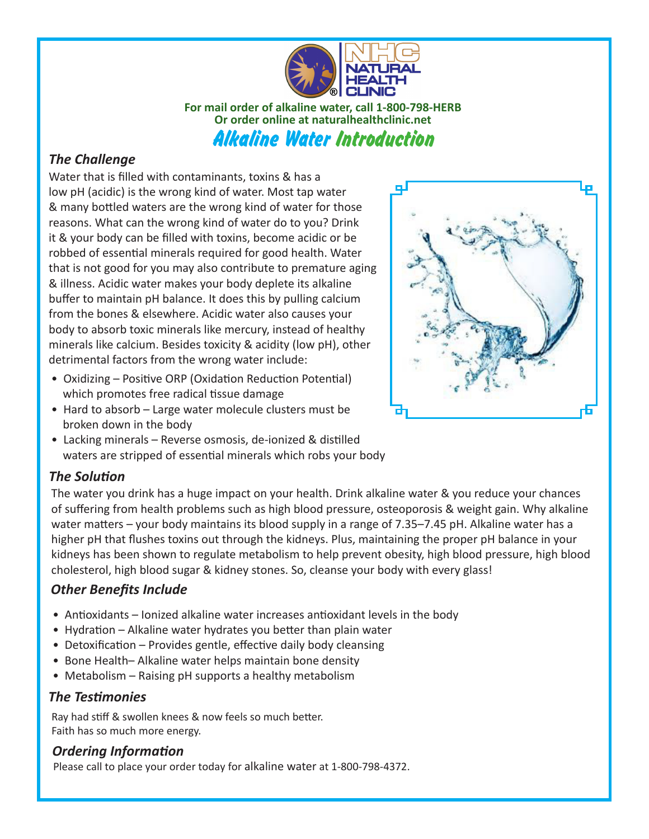

**For mail order of alkaline water, call 1-800-798-HERB Or order online at naturalhealthclinic.net** Alkaline Water Introduction

## *The Challenge*

Water that is filled with contaminants, toxins & has a low pH (acidic) is the wrong kind of water. Most tap water & many bottled waters are the wrong kind of water for those reasons. What can the wrong kind of water do to you? Drink it & your body can be filled with toxins, become acidic or be robbed of essential minerals required for good health. Water that is not good for you may also contribute to premature aging & illness. Acidic water makes your body deplete its alkaline buffer to maintain pH balance. It does this by pulling calcium from the bones & elsewhere. Acidic water also causes your body to absorb toxic minerals like mercury, instead of healthy minerals like calcium. Besides toxicity & acidity (low pH), other detrimental factors from the wrong water include:

- Oxidizing Positive ORP (Oxidation Reduction Potential) which promotes free radical tissue damage
- Hard to absorb Large water molecule clusters must be broken down in the body
- 
- Lacking minerals Reverse osmosis, de-ionized & distilled waters are stripped of essential minerals which robs your body

### *The Solution*

The water you drink has a huge impact on your health. Drink alkaline water & you reduce your chances of suffering from health problems such as high blood pressure, osteoporosis & weight gain. Why alkaline water matters – your body maintains its blood supply in a range of 7.35–7.45 pH. Alkaline water has a higher pH that flushes toxins out through the kidneys. Plus, maintaining the proper pH balance in your kidneys has been shown to regulate metabolism to help prevent obesity, high blood pressure, high blood cholesterol, high blood sugar & kidney stones. So, cleanse your body with every glass!

# *Other Benefits Include*

- Antioxidants Ionized alkaline water increases antioxidant levels in the body
- Hydration Alkaline water hydrates you better than plain water
- Detoxification Provides gentle, effective daily body cleansing
- Bone Health– Alkaline water helps maintain bone density
- Metabolism Raising pH supports a healthy metabolism

### *The Testimonies*

Ray had stiff & swollen knees & now feels so much better. Faith has so much more energy.

#### *Ordering Information*

Please call to place your order today for alkaline water at 1-800-798-4372.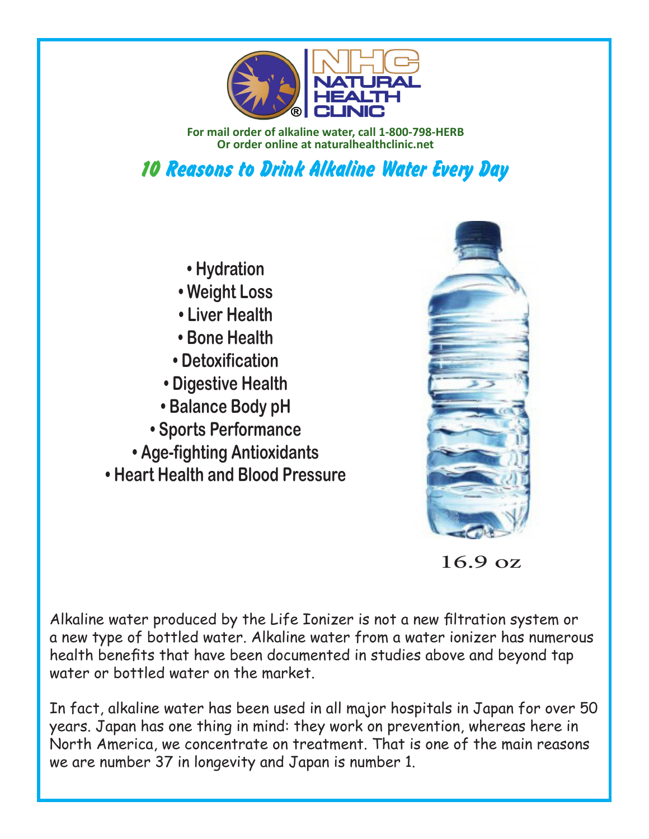

**For mail order of alkaline water, call 1-800-798-HERB Or order online at naturalhealthclinic.net**

10 Reasons to Drink Alkaline Water Every Day

- **Hydration**
- **Weight Loss**
- **Liver Health**
- **Bone Health**
- **Detoxification**
- **Digestive Health**
- **Balance Body pH**
- **Sports Performance**
- **Age-fighting Antioxidants**
- **Heart Health and Blood Pressure**



16.9 oz

Alkaline water produced by the Life Ionizer is not a new filtration system or a new type of bottled water. Alkaline water from a water ionizer has numerous health benefits that have been documented in studies above and beyond tap water or bottled water on the market.

In fact, alkaline water has been used in all major hospitals in Japan for over 50 years. Japan has one thing in mind: they work on prevention, whereas here in North America, we concentrate on treatment. That is one of the main reasons we are number 37 in longevity and Japan is number 1.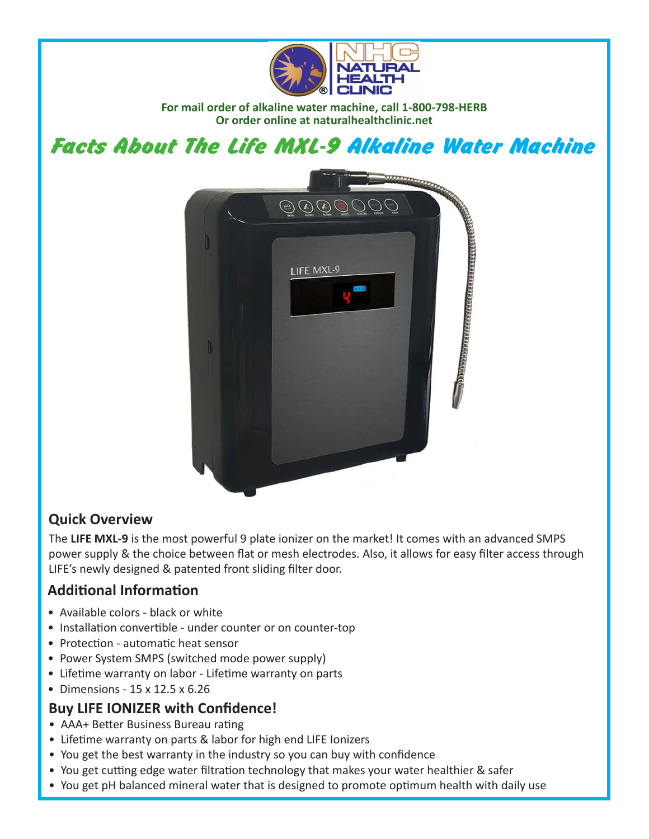

**For mail order of alkaline water machine, call 1-800-798-HERB Or order online at naturalhealthclinic.net**

Facts About The Life MXL-9 Alkaline Water Machine



# **Quick Overview**

The **LIFE MXL-9** is the most powerful 9 plate ionizer on the market! It comes with an advanced SMPS power supply & the choice between flat or mesh electrodes. Also, it allows for easy filter access through LIFE's newly designed & patented front sliding filter door.

# **Additional Information**

- Available colors black or white
- Installation convertible under counter or on counter-top
- Protection automatic heat sensor
- Power System SMPS (switched mode power supply)
- Lifetime warranty on labor Lifetime warranty on parts
- Dimensions 15 x 12.5 x 6.26

## **Buy LIFE IONIZER with Confidence!**

- AAA+ Better Business Bureau rating
- Lifetime warranty on parts & labor for high end LIFE Ionizers
- You get the best warranty in the industry so you can buy with confidence
- You get cutting edge water filtration technology that makes your water healthier & safer
- You get pH balanced mineral water that is designed to promote optimum health with daily use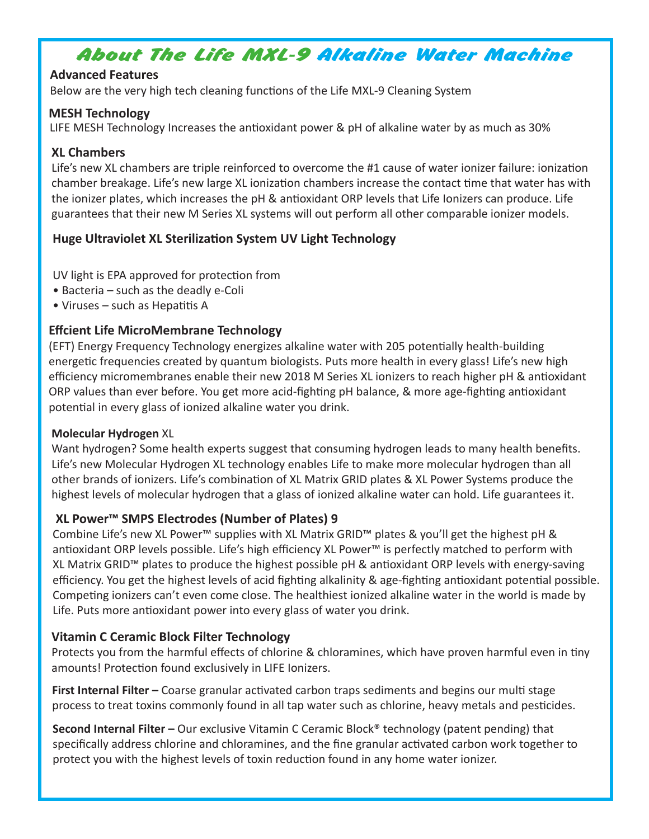# About The Life MXL-9 Alkaline Water Machine

#### **Advanced Features**

Below are the very high tech cleaning functions of the Life MXL-9 Cleaning System

#### **MESH Technology**

LIFE MESH Technology Increases the antioxidant power & pH of alkaline water by as much as 30%

### **XL Chambers**

Life's new XL chambers are triple reinforced to overcome the #1 cause of water ionizer failure: ionization chamber breakage. Life's new large XL ionization chambers increase the contact time that water has with the ionizer plates, which increases the pH & antioxidant ORP levels that Life Ionizers can produce. Life guarantees that their new M Series XL systems will out perform all other comparable ionizer models.

## **Huge Ultraviolet XL Sterilization System UV Light Technology**

UV light is EPA approved for protection from

- Bacteria such as the deadly e-Coli
- Viruses such as Hepatitis A

### **Effcient Life MicroMembrane Technology**

(EFT) Energy Frequency Technology energizes alkaline water with 205 potentially health-building energetic frequencies created by quantum biologists. Puts more health in every glass! Life's new high efficiency micromembranes enable their new 2018 M Series XL ionizers to reach higher pH & antioxidant ORP values than ever before. You get more acid-fighting pH balance, & more age-fighting antioxidant potential in every glass of ionized alkaline water you drink.

### **Molecular Hydrogen** XL

Want hydrogen? Some health experts suggest that consuming hydrogen leads to many health benefits. Life's new Molecular Hydrogen XL technology enables Life to make more molecular hydrogen than all other brands of ionizers. Life's combination of XL Matrix GRID plates & XL Power Systems produce the highest levels of molecular hydrogen that a glass of ionized alkaline water can hold. Life guarantees it.

### **XL Power™ SMPS Electrodes (Number of Plates) 9**

Combine Life's new XL Power™ supplies with XL Matrix GRID™ plates & you'll get the highest pH & antioxidant ORP levels possible. Life's high efficiency XL Power™ is perfectly matched to perform with XL Matrix GRID™ plates to produce the highest possible pH & antioxidant ORP levels with energy-saving efficiency. You get the highest levels of acid fighting alkalinity & age-fighting antioxidant potential possible. Competing ionizers can't even come close. The healthiest ionized alkaline water in the world is made by Life. Puts more antioxidant power into every glass of water you drink.

### **Vitamin C Ceramic Block Filter Technology**

Protects you from the harmful effects of chlorine & chloramines, which have proven harmful even in tiny amounts! Protection found exclusively in LIFE Ionizers.

**First Internal Filter –** Coarse granular activated carbon traps sediments and begins our multi stage process to treat toxins commonly found in all tap water such as chlorine, heavy metals and pesticides.

**Second Internal Filter –** Our exclusive Vitamin C Ceramic Block® technology (patent pending) that specifically address chlorine and chloramines, and the fine granular activated carbon work together to protect you with the highest levels of toxin reduction found in any home water ionizer.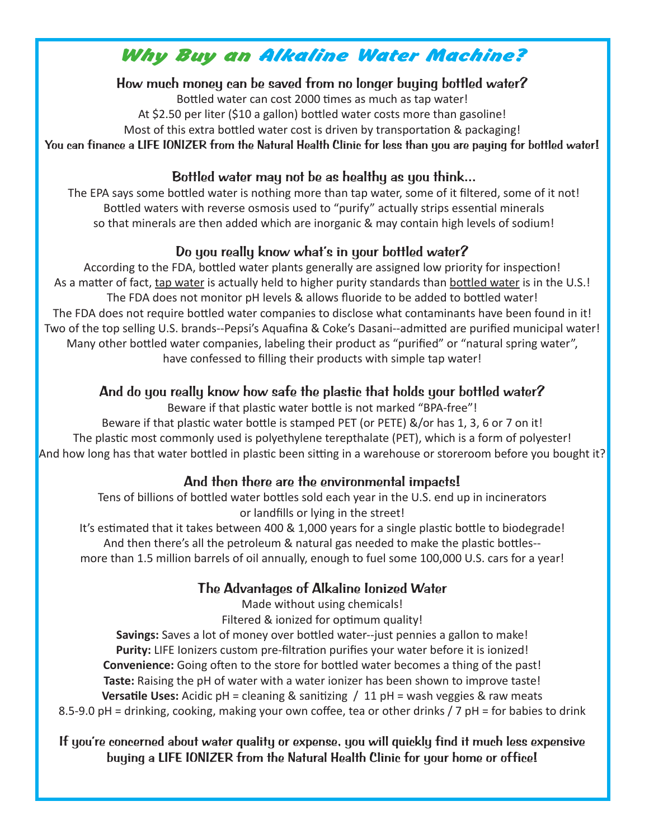# Why Buy an Alkaline Water Machine?

How much money can be saved from no longer buying bottled water?

Bottled water can cost 2000 times as much as tap water! At \$2.50 per liter (\$10 a gallon) bottled water costs more than gasoline! Most of this extra bottled water cost is driven by transportation & packaging!

You can finance a LIFE IONIZER from the Natural Health Clinic for less than you are paying for bottled water!

## Bottled water may not be as healthy as you think...

The EPA says some bottled water is nothing more than tap water, some of it filtered, some of it not! Bottled waters with reverse osmosis used to "purify" actually strips essential minerals so that minerals are then added which are inorganic & may contain high levels of sodium!

# Do you really know what's in your bottled water?

According to the FDA, bottled water plants generally are assigned low priority for inspection! As a matter of fact, tap water is actually held to higher purity standards than bottled water is in the U.S.! The FDA does not monitor pH levels & allows fluoride to be added to bottled water! The FDA does not require bottled water companies to disclose what contaminants have been found in it! Two of the top selling U.S. brands--Pepsi's Aquafina & Coke's Dasani--admitted are purified municipal water! Many other bottled water companies, labeling their product as "purified" or "natural spring water", have confessed to filling their products with simple tap water!

## And do you really know how safe the plastic that holds your bottled water?

Beware if that plastic water bottle is not marked "BPA-free"! Beware if that plastic water bottle is stamped PET (or PETE) &/or has 1, 3, 6 or 7 on it! The plastic most commonly used is polyethylene terepthalate (PET), which is a form of polyester! And how long has that water bottled in plastic been sitting in a warehouse or storeroom before you bought it?

## And then there are the environmental impacts!

Tens of billions of bottled water bottles sold each year in the U.S. end up in incinerators or landfills or lying in the street!

It's estimated that it takes between 400 & 1,000 years for a single plastic bottle to biodegrade! And then there's all the petroleum & natural gas needed to make the plastic bottles- more than 1.5 million barrels of oil annually, enough to fuel some 100,000 U.S. cars for a year!

# The Advantages of Alkaline Ionized Water

Made without using chemicals!

Filtered & ionized for optimum quality!

**Savings:** Saves a lot of money over bottled water--just pennies a gallon to make! **Purity:** LIFE Ionizers custom pre-filtration purifies your water before it is ionized! **Convenience:** Going often to the store for bottled water becomes a thing of the past! **Taste:** Raising the pH of water with a water ionizer has been shown to improve taste! **Versatile Uses:** Acidic pH = cleaning & sanitizing / 11 pH = wash veggies & raw meats 8.5-9.0 pH = drinking, cooking, making your own coffee, tea or other drinks / 7 pH = for babies to drink

If you're concerned about water quality or expense, you will quickly find it much less expensive buying a LIFE IONIZER from the Natural Health Clinic for your home or office!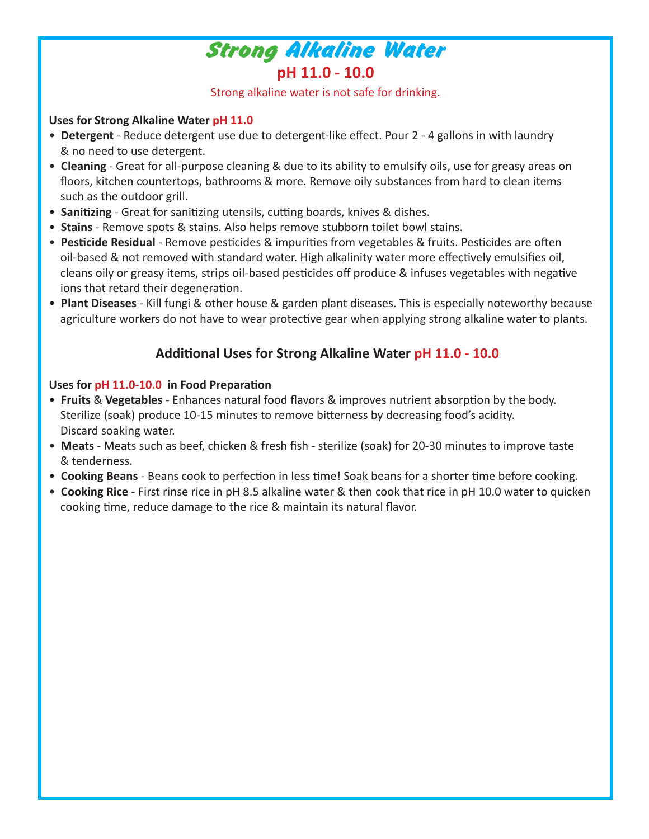

Strong alkaline water is not safe for drinking.

#### **Uses for Strong Alkaline Water pH 11.0**

- **Detergent** Reduce detergent use due to detergent-like effect. Pour 2 4 gallons in with laundry & no need to use detergent.
- **Cleaning** Great for all-purpose cleaning & due to its ability to emulsify oils, use for greasy areas on floors, kitchen countertops, bathrooms & more. Remove oily substances from hard to clean items such as the outdoor grill.
- **Sanitizing** Great for sanitizing utensils, cutting boards, knives & dishes.
- **Stains** Remove spots & stains. Also helps remove stubborn toilet bowl stains.
- **Pesticide Residual** Remove pesticides & impurities from vegetables & fruits. Pesticides are often oil-based & not removed with standard water. High alkalinity water more effectively emulsifies oil, cleans oily or greasy items, strips oil-based pesticides off produce & infuses vegetables with negative ions that retard their degeneration.
- **Plant Diseases** Kill fungi & other house & garden plant diseases. This is especially noteworthy because agriculture workers do not have to wear protective gear when applying strong alkaline water to plants.

# **Additional Uses for Strong Alkaline Water pH 11.0 - 10.0**

#### **Uses for pH 11.0-10.0 in Food Preparation**

- **Fruits** & **Vegetables** Enhances natural food flavors & improves nutrient absorption by the body. Sterilize (soak) produce 10-15 minutes to remove bitterness by decreasing food's acidity. Discard soaking water.
- **Meats** Meats such as beef, chicken & fresh fish sterilize (soak) for 20-30 minutes to improve taste & tenderness.
- **Cooking Beans** Beans cook to perfection in less time! Soak beans for a shorter time before cooking.
- **Cooking Rice** First rinse rice in pH 8.5 alkaline water & then cook that rice in pH 10.0 water to quicken cooking time, reduce damage to the rice & maintain its natural flavor.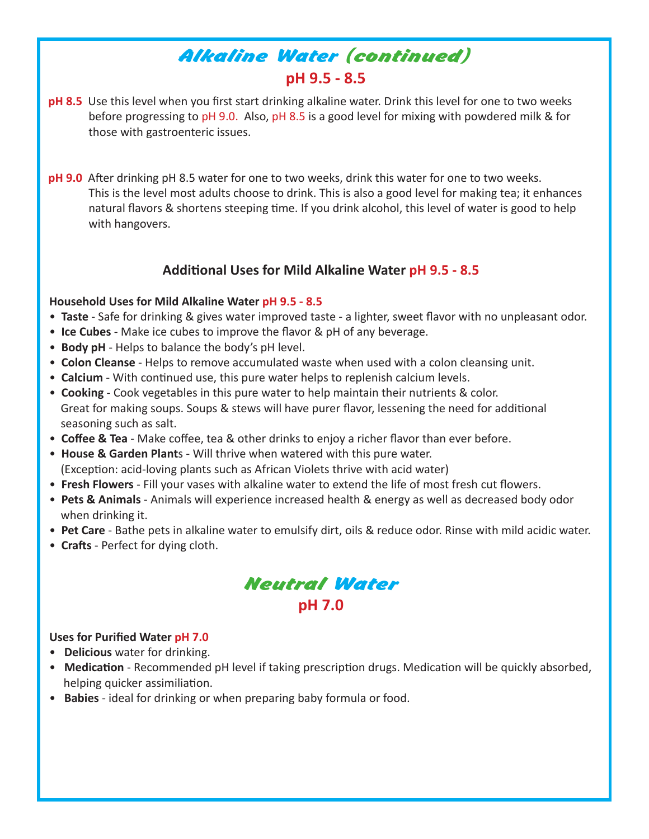# **pH 9.5 - 8.5** Alkaline Water (continued)

- **pH 8.5** Use this level when you first start drinking alkaline water. Drink this level for one to two weeks before progressing to pH 9.0. Also, pH 8.5 is a good level for mixing with powdered milk & for those with gastroenteric issues.
- **pH 9.0** After drinking pH 8.5 water for one to two weeks, drink this water for one to two weeks. This is the level most adults choose to drink. This is also a good level for making tea; it enhances natural flavors & shortens steeping time. If you drink alcohol, this level of water is good to help with hangovers.

## **Additional Uses for Mild Alkaline Water pH 9.5 - 8.5**

#### **Household Uses for Mild Alkaline Water pH 9.5 - 8.5**

- **Taste** Safe for drinking & gives water improved taste a lighter, sweet flavor with no unpleasant odor.
- **Ice Cubes** Make ice cubes to improve the flavor & pH of any beverage.
- **Body pH** Helps to balance the body's pH level.
- **Colon Cleanse** Helps to remove accumulated waste when used with a colon cleansing unit.
- **Calcium** With continued use, this pure water helps to replenish calcium levels.
- **Cooking** Cook vegetables in this pure water to help maintain their nutrients & color. Great for making soups. Soups & stews will have purer flavor, lessening the need for additional seasoning such as salt.
- **Coffee & Tea** Make coffee, tea & other drinks to enjoy a richer flavor than ever before.
- **House & Garden Plant**s Will thrive when watered with this pure water. (Exception: acid-loving plants such as African Violets thrive with acid water)
- **Fresh Flowers** Fill your vases with alkaline water to extend the life of most fresh cut flowers.
- **Pets & Animals** Animals will experience increased health & energy as well as decreased body odor when drinking it.
- **Pet Care** Bathe pets in alkaline water to emulsify dirt, oils & reduce odor. Rinse with mild acidic water.
- **Crafts** Perfect for dying cloth.



#### **Uses for Purified Water pH 7.0**

- **Delicious** water for drinking.
- **Medication** Recommended pH level if taking prescription drugs. Medication will be quickly absorbed, helping quicker assimiliation.
- **Babies** ideal for drinking or when preparing baby formula or food.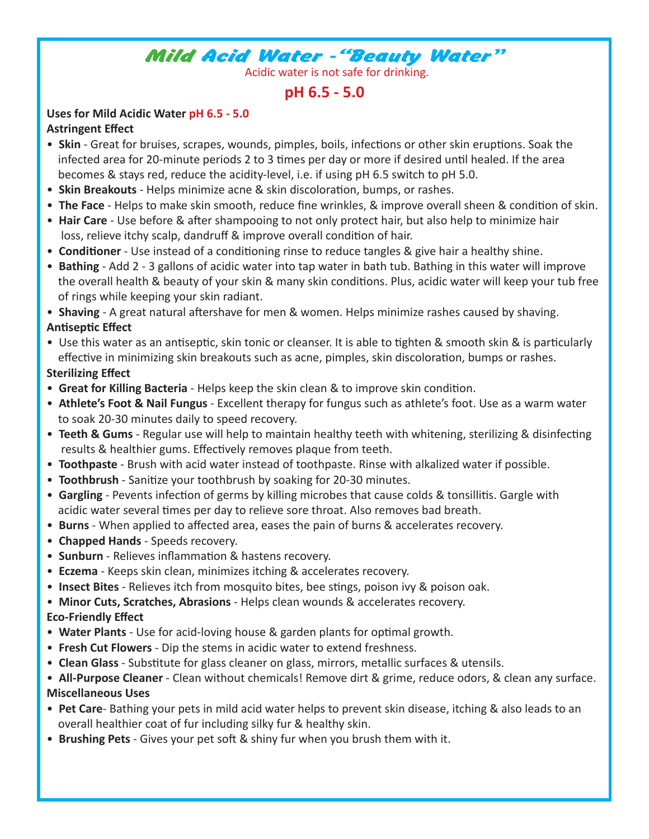# Mild Acid Water -"Beauty Water"

Acidic water is not safe for drinking.

# **pH 6.5 - 5.0**

#### **Uses for Mild Acidic Water pH 6.5 - 5.0 Astringent Effect**

- **Skin** Great for bruises, scrapes, wounds, pimples, boils, infections or other skin eruptions. Soak the infected area for 20-minute periods 2 to 3 times per day or more if desired until healed. If the area becomes & stays red, reduce the acidity-level, i.e. if using pH 6.5 switch to pH 5.0.
- **Skin Breakouts** Helps minimize acne & skin discoloration, bumps, or rashes.
- **The Face** Helps to make skin smooth, reduce fine wrinkles, & improve overall sheen & condition of skin.
- **Hair Care**  Use before & after shampooing to not only protect hair, but also help to minimize hair loss, relieve itchy scalp, dandruff & improve overall condition of hair.
- **Conditioner** Use instead of a conditioning rinse to reduce tangles & give hair a healthy shine.
- **Bathing**  Add 2 3 gallons of acidic water into tap water in bath tub. Bathing in this water will improve the overall health & beauty of your skin & many skin conditions. Plus, acidic water will keep your tub free of rings while keeping your skin radiant.

• **Shaving** - A great natural aftershave for men & women. Helps minimize rashes caused by shaving. **Antiseptic Effect**

• Use this water as an antiseptic, skin tonic or cleanser. It is able to tighten & smooth skin & is particularly effective in minimizing skin breakouts such as acne, pimples, skin discoloration, bumps or rashes.

### **Sterilizing Effect**

- **Great for Killing Bacteria**  Helps keep the skin clean & to improve skin condition.
- **Athlete's Foot & Nail Fungus**  Excellent therapy for fungus such as athlete's foot. Use as a warm water to soak 20-30 minutes daily to speed recovery.
- **Teeth & Gums**  Regular use will help to maintain healthy teeth with whitening, sterilizing & disinfecting results & healthier gums. Effectively removes plaque from teeth.
- **Toothpaste** Brush with acid water instead of toothpaste. Rinse with alkalized water if possible.
- **Toothbrush** Sanitize your toothbrush by soaking for 20-30 minutes.
- **Gargling**  Pevents infection of germs by killing microbes that cause colds & tonsillitis. Gargle with acidic water several times per day to relieve sore throat. Also removes bad breath.
- **Burns** When applied to affected area, eases the pain of burns & accelerates recovery.
- **Chapped Hands** Speeds recovery.
- **Sunburn** Relieves inflammation & hastens recovery.
- **Eczema** Keeps skin clean, minimizes itching & accelerates recovery.
- **Insect Bites**  Relieves itch from mosquito bites, bee stings, poison ivy & poison oak.
- **Minor Cuts, Scratches, Abrasions**  Helps clean wounds & accelerates recovery.

### **Eco-Friendly Effect**

- **Water Plants** Use for acid-loving house & garden plants for optimal growth.
- **Fresh Cut Flowers** Dip the stems in acidic water to extend freshness.
- **Clean Glass** Substitute for glass cleaner on glass, mirrors, metallic surfaces & utensils.
- **All-Purpose Cleaner** Clean without chemicals! Remove dirt & grime, reduce odors, & clean any surface. **Miscellaneous Uses**
- **Pet Care** Bathing your pets in mild acid water helps to prevent skin disease, itching & also leads to an overall healthier coat of fur including silky fur & healthy skin.
- **Brushing Pets** Gives your pet soft & shiny fur when you brush them with it.